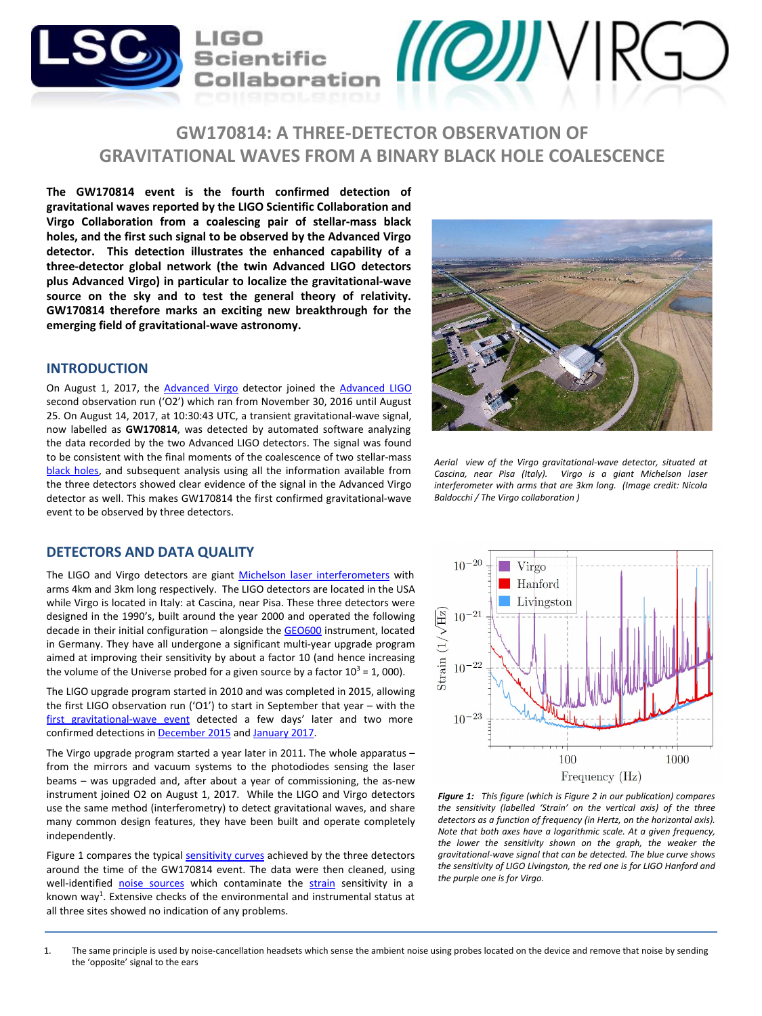

# **GW170814: A THREE-DETECTOR OBSERVATION OF GRAVITATIONAL WAVES FROM A BINARY BLACK HOLE COALESCENCE**

**The GW170814 event is the fourth confirmed detection of gravitational waves reported by the LIGO Scientific Collaboration and Virgo Collaboration from a coalescing pair of stellar-mass black holes, and the first such signal to be observed by the Advanced Virgo detector. This detection illustrates the enhanced capability of a three-detector global network (the twin Advanced LIGO detectors plus Advanced Virgo) in particular to localize the gravitational-wave source on the sky and to test the general theory of relativity. GW170814 therefore marks an exciting new breakthrough for the emerging field of gravitational-wave astronomy.**

#### **INTRODUCTION**

On August 1, 2017, the **Advanced Virgo** detector joined the **[Advanced LIGO](https://www.ligo.caltech.edu/)** second observation run ('O2') which ran from November 30, 2016 until August 25. On August 14, 2017, at 10:30:43 UTC, a transient gravitational-wave signal, now labelled as **GW170814**, was detected by automated software analyzing the data recorded by the two Advanced LIGO detectors. The signal was found to be consistent with the final moments of the coalescence of two stellar-mass [black holes,](https://en.wikipedia.org/wiki/Black_hole) and subsequent analysis using all the information available from the three detectors showed clear evidence of the signal in the Advanced Virgo detector as well. This makes GW170814 the first confirmed gravitational-wave event to be observed by three detectors.

#### **DETECTORS AND DATA QUALITY**

The LIGO and Virgo detectors are giant [Michelson laser interferometers](https://en.wikipedia.org/wiki/Michelson_interferometer) with arms 4km and 3km long respectively. The LIGO detectors are located in the USA while Virgo is located in Italy: at Cascina, near Pisa. These three detectors were designed in the 1990's, built around the year 2000 and operated the following decade in their initial configuration – alongside the [GEO600](http://www.geo600.org/) instrument, located in Germany. They have all undergone a significant multi-year upgrade program aimed at improving their sensitivity by about a factor 10 (and hence increasing the volume of the Universe probed for a given source by a factor  $10^3$  = 1, 000).

The LIGO upgrade program started in 2010 and was completed in 2015, allowing the first LIGO observation run ('O1') to start in September that year – with the [first gravitational-wave event](http://www.ligo.org/detections/GW150914.php) detected a few days' later and two more confirmed detections in [December 2015](http://www.ligo.org/detections/GW151226.php) and [January 2017.](http://www.ligo.org/detections/GW170104.php)

The Virgo upgrade program started a year later in 2011. The whole apparatus – from the mirrors and vacuum systems to the photodiodes sensing the laser beams – was upgraded and, after about a year of commissioning, the as-new instrument joined O2 on August 1, 2017. While the LIGO and Virgo detectors use the same method (interferometry) to detect gravitational waves, and share many common design features, they have been built and operate completely independently.

Figure 1 compares the typical [sensitivity curves](https://cplberry.com/2015/01/10/1408-0740/) achieved by the three detectors around the time of the GW170814 event. The data were then cleaned, using well-identified [noise sources](https://en.wikipedia.org/wiki/Noise) which contaminate the [strain](https://en.wikipedia.org/wiki/Strain) sensitivity in a known way<sup>1</sup>. Extensive checks of the environmental and instrumental status at all three sites showed no indication of any problems.



*Aerial view of the Virgo gravitational-wave detector, situated at Cascina, near Pisa (Italy). Virgo is a giant Michelson laser interferometer with arms that are 3km long. (Image credit: Nicola Baldocchi / The Virgo collaboration )*



*Figure 1: This figure (which is Figure 2 in our publication) compares the sensitivity (labelled 'Strain' on the vertical axis) of the three detectors as a function of frequency (in Hertz, on the horizontal axis). Note that both axes have a logarithmic scale. At a given frequency, the lower the sensitivity shown on the graph, the weaker the gravitational-wave signal that can be detected. The blue curve shows the sensitivity of LIGO Livingston, the red one is for LIGO Hanford and the purple one is for Virgo.*

<sup>1.</sup> The same principle is used by noise-cancellation headsets which sense the ambient noise using probes located on the device and remove that noise by sending the 'opposite' signal to the ears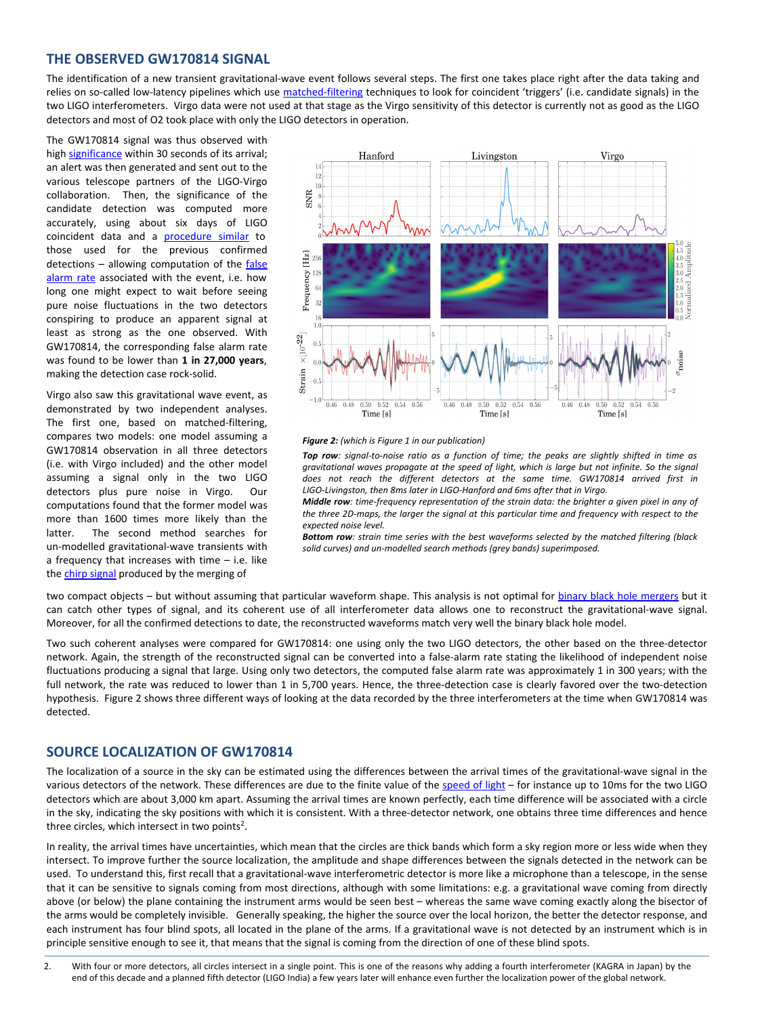### **THE OBSERVED GW170814 SIGNAL**

The identification of a new transient gravitational-wave event follows several steps. The first one takes place right after the data taking and relies on so-called low-latency pipelines which use [matched-filtering](https://en.wikipedia.org/wiki/Matched_filter) techniques to look for coincident 'triggers' (i.e. candidate signals) in the two LIGO interferometers. Virgo data were not used at that stage as the Virgo sensitivity of this detector is currently not as good as the LIGO detectors and most of O2 took place with only the LIGO detectors in operation.

The GW170814 signal was thus observed with high [significance](https://en.wikipedia.org/wiki/Statistical_significance) within 30 seconds of its arrival; an alert was then generated and sent out to the various telescope partners of the LIGO-Virgo collaboration. Then, the significance of the candidate detection was computed more accurately, using about six days of LIGO coincident data and a [procedure similar](http://www.ligo.org/science/Publication-GW150914CBC/index.php) to those used for the previous confirmed detections - allowing computation of the [false](https://en.wikipedia.org/wiki/False_positive_rate) [alarm rate](https://en.wikipedia.org/wiki/False_positive_rate) associated with the event, i.e. how long one might expect to wait before seeing pure noise fluctuations in the two detectors conspiring to produce an apparent signal at least as strong as the one observed. With GW170814, the corresponding false alarm rate was found to be lower than **1 in 27,000 years**, making the detection case rock-solid.

Virgo also saw this gravitational wave event, as demonstrated by two independent analyses. The first one, based on matched-filtering, compares two models: one model assuming a GW170814 observation in all three detectors (i.e. with Virgo included) and the other model assuming a signal only in the two LIGO detectors plus pure noise in Virgo. Our computations found that the former model was more than 1600 times more likely than the latter. The second method searches for un-modelled gravitational-wave transients with a frequency that increases with time – i.e. like the [chirp signal](https://en.wikipedia.org/wiki/Chirp) produced by the merging of



*Figure 2: (which is Figure 1 in our publication)*

*Top row: signal-to-noise ratio as a function of time; the peaks are slightly shifted in time as gravitational waves propagate at the speed of light, which is large but not infinite. So the signal does not reach the different detectors at the same time. GW170814 arrived first in LIGO-Livingston, then 8ms later in LIGO-Hanford and 6ms after that in Virgo.*

*Middle row: time-frequency representation of the strain data: the brighter a given pixel in any of the three 2D-maps, the larger the signal at this particular time and frequency with respect to the expected noise level.*

*Bottom row: strain time series with the best waveforms selected by the matched filtering (black solid curves) and un-modelled search methods (grey bands) superimposed.*

two compact objects - but without assuming that particular waveform shape. This analysis is not optimal for [binary black hole mergers](https://en.wikipedia.org/wiki/Binary_black_hole) but it can catch other types of signal, and its coherent use of all interferometer data allows one to reconstruct the gravitational-wave signal. Moreover, for all the confirmed detections to date, the reconstructed waveforms match very well the binary black hole model.

Two such coherent analyses were compared for GW170814: one using only the two LIGO detectors, the other based on the three-detector network. Again, the strength of the reconstructed signal can be converted into a false-alarm rate stating the likelihood of independent noise fluctuations producing a signal that large. Using only two detectors, the computed false alarm rate was approximately 1 in 300 years; with the full network, the rate was reduced to lower than 1 in 5,700 years. Hence, the three-detection case is clearly favored over the two-detection hypothesis. Figure 2 shows three different ways of looking at the data recorded by the three interferometers at the time when GW170814 was detected.

#### **SOURCE LOCALIZATION OF GW170814**

The localization of a source in the sky can be estimated using the differences between the arrival times of the gravitational-wave signal in the various detectors of the network. These differences are due to the finite value of the [speed of light](https://en.wikipedia.org/wiki/Speed_of_light) – for instance up to 10ms for the two LIGO detectors which are about 3,000 km apart. Assuming the arrival times are known perfectly, each time difference will be associated with a circle in the sky, indicating the sky positions with which it is consistent. With a three-detector network, one obtains three time differences and hence three circles, which intersect in two points<sup>2</sup>.

In reality, the arrival times have uncertainties, which mean that the circles are thick bands which form a sky region more or less wide when they intersect. To improve further the source localization, the amplitude and shape differences between the signals detected in the network can be used. To understand this, first recall that a gravitational-wave interferometric detector is more like a microphone than a telescope, in the sense that it can be sensitive to signals coming from most directions, although with some limitations: e.g. a gravitational wave coming from directly above (or below) the plane containing the instrument arms would be seen best – whereas the same wave coming exactly along the bisector of the arms would be completely invisible. Generally speaking, the higher the source over the local horizon, the better the detector response, and each instrument has four blind spots, all located in the plane of the arms. If a gravitational wave is not detected by an instrument which is in principle sensitive enough to see it, that means that the signal is coming from the direction of one of these blind spots.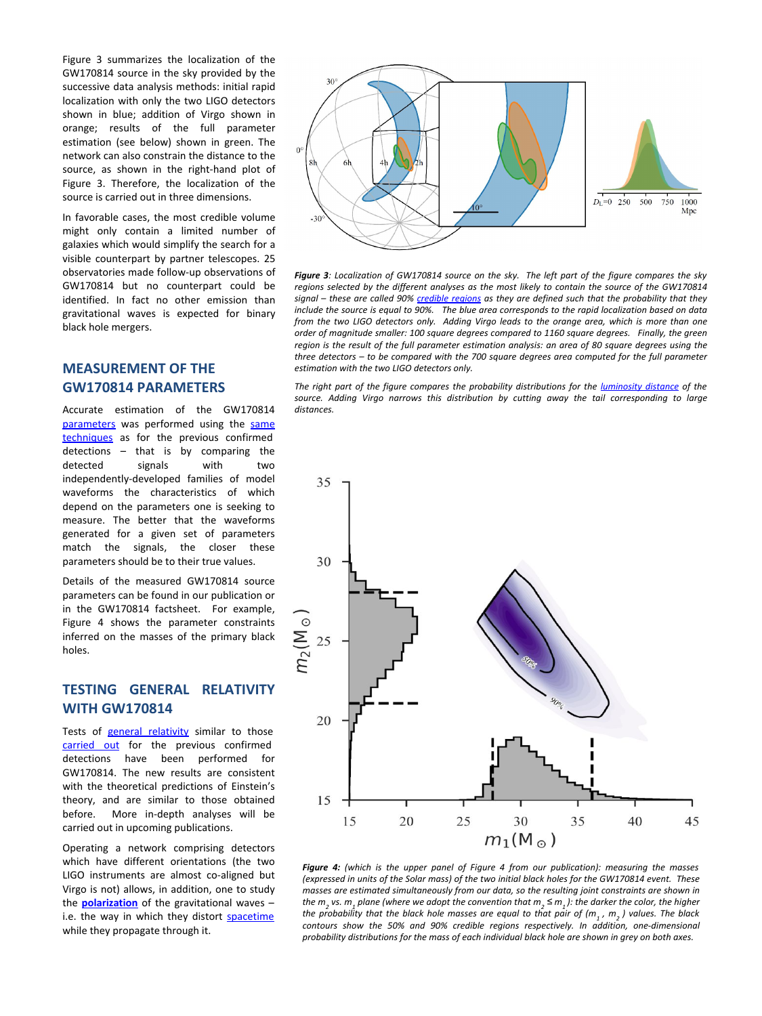Figure 3 summarizes the localization of the GW170814 source in the sky provided by the successive data analysis methods: initial rapid localization with only the two LIGO detectors shown in blue; addition of Virgo shown in orange; results of the full parameter estimation (see below) shown in green. The network can also constrain the distance to the source, as shown in the right-hand plot of Figure 3. Therefore, the localization of the source is carried out in three dimensions.

In favorable cases, the most credible volume might only contain a limited number of galaxies which would simplify the search for a visible counterpart by partner telescopes. 25 observatories made follow-up observations of GW170814 but no counterpart could be identified. In fact no other emission than gravitational waves is expected for binary black hole mergers.

## **MEASUREMENT OF THE GW170814 PARAMETERS**

Accurate estimation of the GW170814 [parameters](https://en.wikipedia.org/wiki/Parameter) was performed using the [same](https://dcc.ligo.org/P1500218/public) [techniques](https://dcc.ligo.org/P1500218/public) as for the previous confirmed detections – that is by comparing the detected signals with two independently-developed families of model waveforms the characteristics of which depend on the parameters one is seeking to measure. The better that the waveforms generated for a given set of parameters match the signals, the closer these parameters should be to their true values.

Details of the measured GW170814 source parameters can be found in our publication or in the GW170814 factsheet. For example, Figure 4 shows the parameter constraints inferred on the masses of the primary black holes.

## **TESTING GENERAL RELATIVITY WITH GW170814**

Tests of [general relativity](https://en.wikipedia.org/wiki/General_relativity) similar to those [carried out](http://www.ligo.org/science/Publication-GW150914TestingGR/index.php) for the previous confirmed detections have been performed for GW170814. The new results are consistent with the theoretical predictions of Einstein's theory, and are similar to those obtained before. More in-depth analyses will be carried out in upcoming publications.

Operating a network comprising detectors which have different orientations (the two LIGO instruments are almost co-aligned but Virgo is not) allows, in addition, one to study the **[polarization](https://en.wikipedia.org/wiki/Polarization_(waves))** of the gravitational waves – i.e. the way in which they distort [spacetime](https://en.wikipedia.org/wiki/Spacetime) while they propagate through it.



*Figure 3: Localization of GW170814 source on the sky. The left part of the figure compares the sky regions selected by the different analyses as the most likely to contain the source of the GW170814 signal – these are called 90% [credible regions](https://en.wikipedia.org/wiki/Credible_interval) as they are defined such that the probability that they include the source is equal to 90%. The blue area corresponds to the rapid localization based on data from the two LIGO detectors only. Adding Virgo leads to the orange area, which is more than one order of magnitude smaller: 100 square degrees compared to 1160 square degrees. Finally, the green region is the result of the full parameter estimation analysis: an area of 80 square degrees using the three detectors – to be compared with the 700 square degrees area computed for the full parameter estimation with the two LIGO detectors only.* 

The right part of the figure compares the probability distributions for the *[luminosity distance](https://en.wikipedia.org/wiki/Luminosity_distance)* of the *source. Adding Virgo narrows this distribution by cutting away the tail corresponding to large distances.*